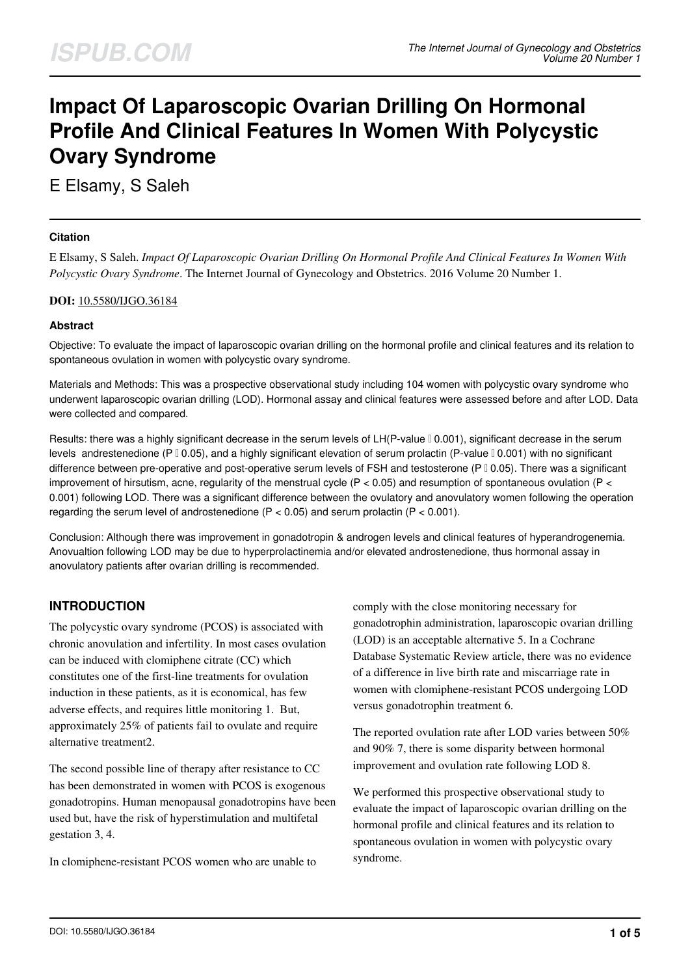# **Impact Of Laparoscopic Ovarian Drilling On Hormonal Profile And Clinical Features In Women With Polycystic Ovary Syndrome**

E Elsamy, S Saleh

## **Citation**

E Elsamy, S Saleh. *Impact Of Laparoscopic Ovarian Drilling On Hormonal Profile And Clinical Features In Women With Polycystic Ovary Syndrome*. The Internet Journal of Gynecology and Obstetrics. 2016 Volume 20 Number 1.

#### **DOI:** [10.5580/IJGO.36184](https://ispub.com/doi/10.5580/IJGO.36184)

## **Abstract**

Objective: To evaluate the impact of laparoscopic ovarian drilling on the hormonal profile and clinical features and its relation to spontaneous ovulation in women with polycystic ovary syndrome.

Materials and Methods: This was a prospective observational study including 104 women with polycystic ovary syndrome who underwent laparoscopic ovarian drilling (LOD). Hormonal assay and clinical features were assessed before and after LOD. Data were collected and compared.

Results: there was a highly significant decrease in the serum levels of LH(P-value  $[0.001)$ , significant decrease in the serum levels andrestenedione (P  $\sqrt{0.05}$ ), and a highly significant elevation of serum prolactin (P-value  $\sqrt{0.001}$ ) with no significant difference between pre-operative and post-operative serum levels of FSH and testosterone (P  $\sqrt{0.05}$ ). There was a significant improvement of hirsutism, acne, regularity of the menstrual cycle  $(P < 0.05)$  and resumption of spontaneous ovulation  $(P < 0.05)$ 0.001) following LOD. There was a significant difference between the ovulatory and anovulatory women following the operation regarding the serum level of androstenedione ( $P < 0.05$ ) and serum prolactin ( $P < 0.001$ ).

Conclusion: Although there was improvement in gonadotropin & androgen levels and clinical features of hyperandrogenemia. Anovualtion following LOD may be due to hyperprolactinemia and/or elevated androstenedione, thus hormonal assay in anovulatory patients after ovarian drilling is recommended.

# **INTRODUCTION**

The polycystic ovary syndrome (PCOS) is associated with chronic anovulation and infertility. In most cases ovulation can be induced with clomiphene citrate (CC) which constitutes one of the first-line treatments for ovulation induction in these patients, as it is economical, has few adverse effects, and requires little monitoring 1. But, approximately 25% of patients fail to ovulate and require alternative treatment2.

The second possible line of therapy after resistance to CC has been demonstrated in women with PCOS is exogenous gonadotropins. Human menopausal gonadotropins have been used but, have the risk of hyperstimulation and multifetal gestation 3, 4.

In clomiphene-resistant PCOS women who are unable to

comply with the close monitoring necessary for gonadotrophin administration, laparoscopic ovarian drilling (LOD) is an acceptable alternative 5. In a Cochrane Database Systematic Review article, there was no evidence of a difference in live birth rate and miscarriage rate in women with clomiphene-resistant PCOS undergoing LOD versus gonadotrophin treatment 6.

The reported ovulation rate after LOD varies between 50% and 90% 7, there is some disparity between hormonal improvement and ovulation rate following LOD 8.

We performed this prospective observational study to evaluate the impact of laparoscopic ovarian drilling on the hormonal profile and clinical features and its relation to spontaneous ovulation in women with polycystic ovary syndrome.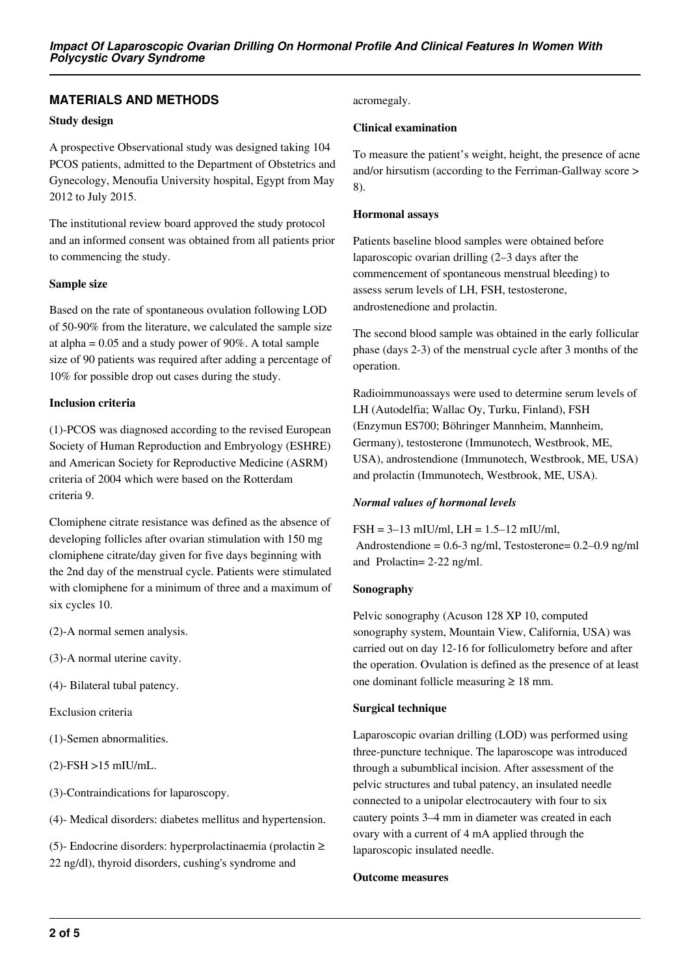## **MATERIALS AND METHODS**

#### **Study design**

A prospective Observational study was designed taking 104 PCOS patients, admitted to the Department of Obstetrics and Gynecology, Menoufia University hospital, Egypt from May 2012 to July 2015.

The institutional review board approved the study protocol and an informed consent was obtained from all patients prior to commencing the study.

#### **Sample size**

Based on the rate of spontaneous ovulation following LOD of 50-90% from the literature, we calculated the sample size at alpha  $= 0.05$  and a study power of 90%. A total sample size of 90 patients was required after adding a percentage of 10% for possible drop out cases during the study.

#### **Inclusion criteria**

(1)-PCOS was diagnosed according to the revised European Society of Human Reproduction and Embryology (ESHRE) and American Society for Reproductive Medicine (ASRM) criteria of 2004 which were based on the Rotterdam criteria 9.

Clomiphene citrate resistance was defined as the absence of developing follicles after ovarian stimulation with 150 mg clomiphene citrate/day given for five days beginning with the 2nd day of the menstrual cycle. Patients were stimulated with clomiphene for a minimum of three and a maximum of six cycles 10.

- (2)-A normal semen analysis.
- (3)-A normal uterine cavity.
- (4)- Bilateral tubal patency.

Exclusion criteria

(1)-Semen abnormalities.

(2)-FSH >15 mIU/mL.

(3)-Contraindications for laparoscopy.

(4)- Medical disorders: diabetes mellitus and hypertension.

(5)- Endocrine disorders: hyperprolactinaemia (prolactin  $\geq$ 22 ng/dl), thyroid disorders, cushing's syndrome and

#### acromegaly.

#### **Clinical examination**

To measure the patient's weight, height, the presence of acne and/or hirsutism (according to the Ferriman-Gallway score > 8).

#### **Hormonal assays**

Patients baseline blood samples were obtained before laparoscopic ovarian drilling (2–3 days after the commencement of spontaneous menstrual bleeding) to assess serum levels of LH, FSH, testosterone, androstenedione and prolactin.

The second blood sample was obtained in the early follicular phase (days 2-3) of the menstrual cycle after 3 months of the operation.

Radioimmunoassays were used to determine serum levels of LH (Autodelfia; Wallac Oy, Turku, Finland), FSH (Enzymun ES700; Böhringer Mannheim, Mannheim, Germany), testosterone (Immunotech, Westbrook, ME, USA), androstendione (Immunotech, Westbrook, ME, USA) and prolactin (Immunotech, Westbrook, ME, USA).

#### *Normal values of hormonal levels*

#### $FSH = 3-13$  mIU/ml,  $LH = 1.5-12$  mIU/ml,

 Androstendione = 0.6-3 ng/ml, Testosterone= 0.2–0.9 ng/ml and Prolactin= 2-22 ng/ml.

#### **Sonography**

Pelvic sonography (Acuson 128 XP 10, computed sonography system, Mountain View, California, USA) was carried out on day 12-16 for folliculometry before and after the operation. Ovulation is defined as the presence of at least one dominant follicle measuring ≥ 18 mm.

#### **Surgical technique**

Laparoscopic ovarian drilling (LOD) was performed using three-puncture technique. The laparoscope was introduced through a subumblical incision. After assessment of the pelvic structures and tubal patency, an insulated needle connected to a unipolar electrocautery with four to six cautery points 3–4 mm in diameter was created in each ovary with a current of 4 mA applied through the laparoscopic insulated needle.

#### **Outcome measures**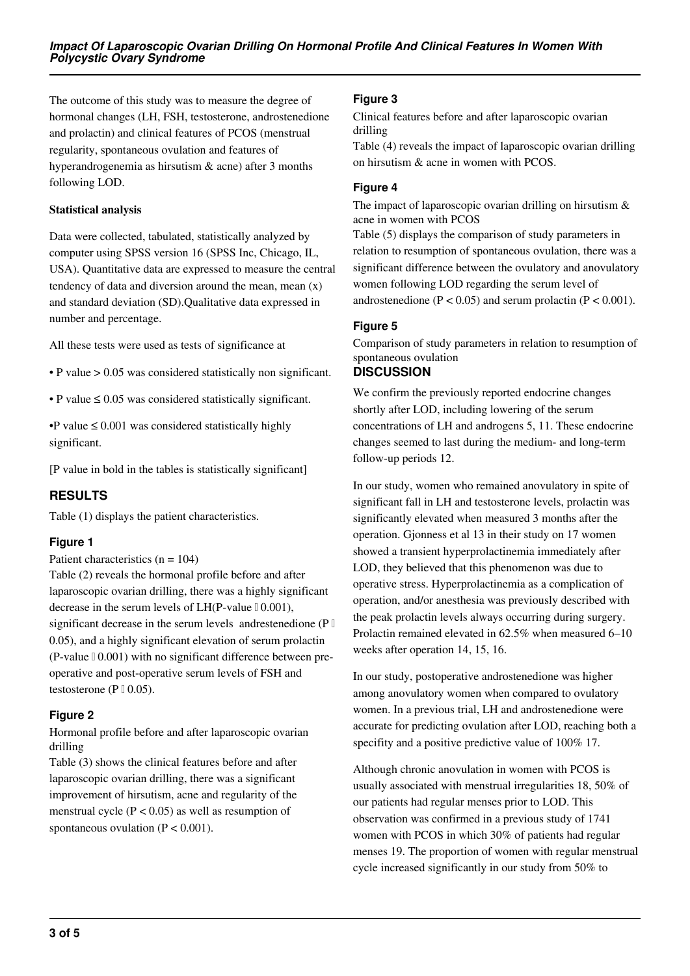The outcome of this study was to measure the degree of hormonal changes (LH, FSH, testosterone, androstenedione and prolactin) and clinical features of PCOS (menstrual regularity, spontaneous ovulation and features of hyperandrogenemia as hirsutism & acne) after 3 months following LOD.

## **Statistical analysis**

Data were collected, tabulated, statistically analyzed by computer using SPSS version 16 (SPSS Inc, Chicago, IL, USA). Quantitative data are expressed to measure the central tendency of data and diversion around the mean, mean (x) and standard deviation (SD).Qualitative data expressed in number and percentage.

All these tests were used as tests of significance at

- P value > 0.05 was considered statistically non significant.
- P value ≤ 0.05 was considered statistically significant.

•P value  $\leq 0.001$  was considered statistically highly significant.

[P value in bold in the tables is statistically significant]

# **RESULTS**

Table (1) displays the patient characteristics.

## **Figure 1**

Patient characteristics  $(n = 104)$ 

Table (2) reveals the hormonal profile before and after laparoscopic ovarian drilling, there was a highly significant decrease in the serum levels of  $LH(P-value \, | \, 0.001)$ , significant decrease in the serum levels andrestenedione ( $P \mathbb{I}$ 0.05), and a highly significant elevation of serum prolactin  $(P-value \, | \, 0.001)$  with no significant difference between preoperative and post-operative serum levels of FSH and testosterone ( $P \, \mathbb{I} \, 0.05$ ).

## **Figure 2**

Hormonal profile before and after laparoscopic ovarian drilling

Table (3) shows the clinical features before and after laparoscopic ovarian drilling, there was a significant improvement of hirsutism, acne and regularity of the menstrual cycle  $(P < 0.05)$  as well as resumption of spontaneous ovulation  $(P < 0.001)$ .

## **Figure 3**

Clinical features before and after laparoscopic ovarian drilling

Table (4) reveals the impact of laparoscopic ovarian drilling on hirsutism & acne in women with PCOS.

## **Figure 4**

The impact of laparoscopic ovarian drilling on hirsutism & acne in women with PCOS

Table (5) displays the comparison of study parameters in relation to resumption of spontaneous ovulation, there was a significant difference between the ovulatory and anovulatory women following LOD regarding the serum level of androstenedione ( $P < 0.05$ ) and serum prolactin ( $P < 0.001$ ).

## **Figure 5**

Comparison of study parameters in relation to resumption of spontaneous ovulation

## **DISCUSSION**

We confirm the previously reported endocrine changes shortly after LOD, including lowering of the serum concentrations of LH and androgens 5, 11. These endocrine changes seemed to last during the medium- and long-term follow-up periods 12.

In our study, women who remained anovulatory in spite of significant fall in LH and testosterone levels, prolactin was significantly elevated when measured 3 months after the operation. Gjonness et al 13 in their study on 17 women showed a transient hyperprolactinemia immediately after LOD, they believed that this phenomenon was due to operative stress. Hyperprolactinemia as a complication of operation, and/or anesthesia was previously described with the peak prolactin levels always occurring during surgery. Prolactin remained elevated in 62.5% when measured 6–10 weeks after operation 14, 15, 16.

In our study, postoperative androstenedione was higher among anovulatory women when compared to ovulatory women. In a previous trial, LH and androstenedione were accurate for predicting ovulation after LOD, reaching both a specifity and a positive predictive value of  $100\%$  17.

Although chronic anovulation in women with PCOS is usually associated with menstrual irregularities 18, 50% of our patients had regular menses prior to LOD. This observation was confirmed in a previous study of 1741 women with PCOS in which 30% of patients had regular menses 19. The proportion of women with regular menstrual cycle increased significantly in our study from 50% to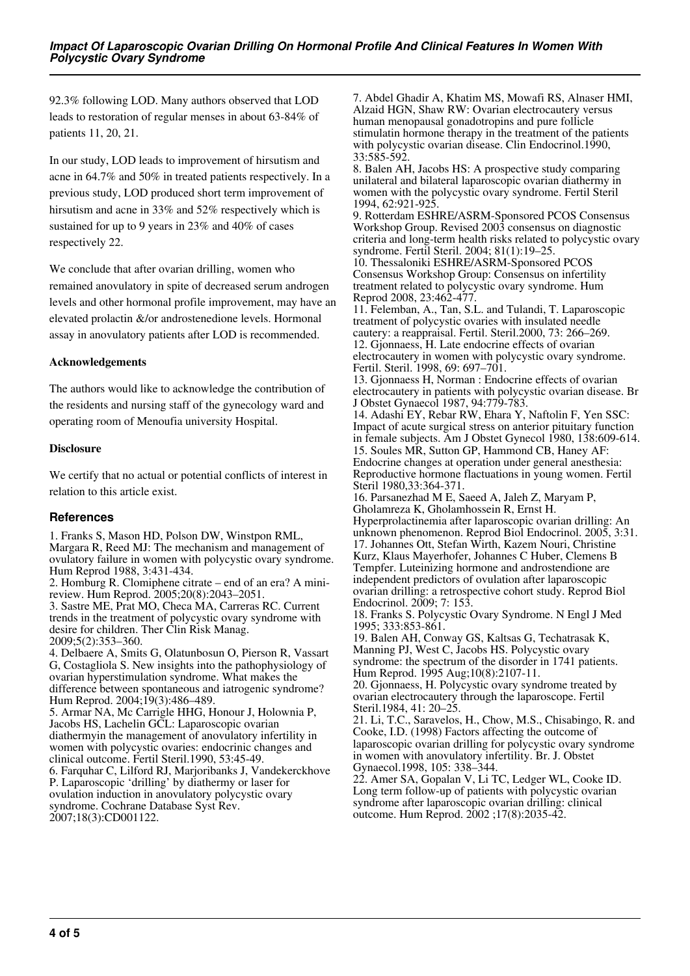92.3% following LOD. Many authors observed that LOD leads to restoration of regular menses in about 63-84% of patients 11, 20, 21.

In our study, LOD leads to improvement of hirsutism and acne in 64.7% and 50% in treated patients respectively. In a previous study, LOD produced short term improvement of hirsutism and acne in 33% and 52% respectively which is sustained for up to 9 years in 23% and 40% of cases respectively 22.

We conclude that after ovarian drilling, women who remained anovulatory in spite of decreased serum androgen levels and other hormonal profile improvement, may have an elevated prolactin &/or androstenedione levels. Hormonal assay in anovulatory patients after LOD is recommended.

## **Acknowledgements**

The authors would like to acknowledge the contribution of the residents and nursing staff of the gynecology ward and operating room of Menoufia university Hospital.

## **Disclosure**

We certify that no actual or potential conflicts of interest in relation to this article exist.

# **References**

1. Franks S, Mason HD, Polson DW, Winstpon RML, Margara R, Reed MJ: The mechanism and management of ovulatory failure in women with polycystic ovary syndrome. Hum Reprod 1988, 3:431-434.

2. Homburg R. Clomiphene citrate – end of an era? A minireview. Hum Reprod. 2005;20(8):2043–2051. 3. Sastre ME, Prat MO, Checa MA, Carreras RC. Current trends in the treatment of polycystic ovary syndrome with desire for children. Ther Clin Risk Manag. 2009;5(2):353–360.

4. Delbaere A, Smits G, Olatunbosun O, Pierson R, Vassart G, Costagliola S. New insights into the pathophysiology of ovarian hyperstimulation syndrome. What makes the difference between spontaneous and iatrogenic syndrome? Hum Reprod. 2004;19(3):486–489.

5. Armar NA, Mc Carrigle HHG, Honour J, Holownia P, Jacobs HS, Lachelin GCL: Laparoscopic ovarian diathermyin the management of anovulatory infertility in women with polycystic ovaries: endocrinic changes and clinical outcome. Fertil Steril.1990, 53:45-49. 6. Farquhar C, Lilford RJ, Marjoribanks J, Vandekerckhove P. Laparoscopic 'drilling' by diathermy or laser for ovulation induction in anovulatory polycystic ovary

syndrome. Cochrane Database Syst Rev. 2007;18(3):CD001122.

7. Abdel Ghadir A, Khatim MS, Mowafi RS, Alnaser HMI, Alzaid HGN, Shaw RW: Ovarian electrocautery versus human menopausal gonadotropins and pure follicle stimulatin hormone therapy in the treatment of the patients with polycystic ovarian disease. Clin Endocrinol.1990, 33:585-592.

8. Balen AH, Jacobs HS: A prospective study comparing unilateral and bilateral laparoscopic ovarian diathermy in women with the polycystic ovary syndrome. Fertil Steril 1994, 62:921-925.

9. Rotterdam ESHRE/ASRM-Sponsored PCOS Consensus Workshop Group. Revised 2003 consensus on diagnostic criteria and long-term health risks related to polycystic ovary syndrome. Fertil Steril. 2004; 81(1):19–25.

10. Thessaloniki ESHRE/ASRM-Sponsored PCOS Consensus Workshop Group: Consensus on infertility treatment related to polycystic ovary syndrome. Hum Reprod 2008, 23:462-477.

11. Felemban, A., Tan, S.L. and Tulandi, T. Laparoscopic treatment of polycystic ovaries with insulated needle cautery: a reappraisal. Fertil. Steril.2000, 73: 266–269. 12. Gjonnaess, H. Late endocrine effects of ovarian electrocautery in women with polycystic ovary syndrome. Fertil. Steril. 1998, 69: 697–701.

13. Gjonnaess H, Norman : Endocrine effects of ovarian electrocautery in patients with polycystic ovarian disease. Br J Obstet Gynaecol 1987, 94:779-783.

14. Adashi EY, Rebar RW, Ehara Y, Naftolin F, Yen SSC: Impact of acute surgical stress on anterior pituitary function in female subjects. Am J Obstet Gynecol 1980, 138:609-614. 15. Soules MR, Sutton GP, Hammond CB, Haney AF: Endocrine changes at operation under general anesthesia: Reproductive hormone flactuations in young women. Fertil Steril 1980,33:364-371.

16. Parsanezhad M E, Saeed A, Jaleh Z, Maryam P, Gholamreza K, Gholamhossein R, Ernst H.

Hyperprolactinemia after laparoscopic ovarian drilling: An unknown phenomenon. Reprod Biol Endocrinol. 2005, 3:31. 17. Johannes Ott, Stefan Wirth, Kazem Nouri, Christine Kurz, Klaus Mayerhofer, Johannes C Huber, Clemens B Tempfer. Luteinizing hormone and androstendione are independent predictors of ovulation after laparoscopic ovarian drilling: a retrospective cohort study. Reprod Biol Endocrinol. 2009; 7: 153.

18. Franks S. Polycystic Ovary Syndrome. N Engl J Med 1995; 333:853-861.

19. Balen AH, Conway GS, Kaltsas G, Techatrasak K, Manning PJ, West C, Jacobs HS. Polycystic ovary syndrome: the spectrum of the disorder in 1741 patients. Hum Reprod. 1995 Aug;10(8):2107-11.

20. Gjonnaess, H. Polycystic ovary syndrome treated by ovarian electrocautery through the laparoscope. Fertil Steril.1984, 41: 20–25.

21. Li, T.C., Saravelos, H., Chow, M.S., Chisabingo, R. and Cooke, I.D. (1998) Factors affecting the outcome of laparoscopic ovarian drilling for polycystic ovary syndrome in women with anovulatory infertility. Br. J. Obstet Gynaecol.1998, 105: 338–344.

22. Amer SA, Gopalan V, Li TC, Ledger WL, Cooke ID. Long term follow-up of patients with polycystic ovarian syndrome after laparoscopic ovarian drilling: clinical outcome. Hum Reprod. 2002 ;17(8):2035-42.